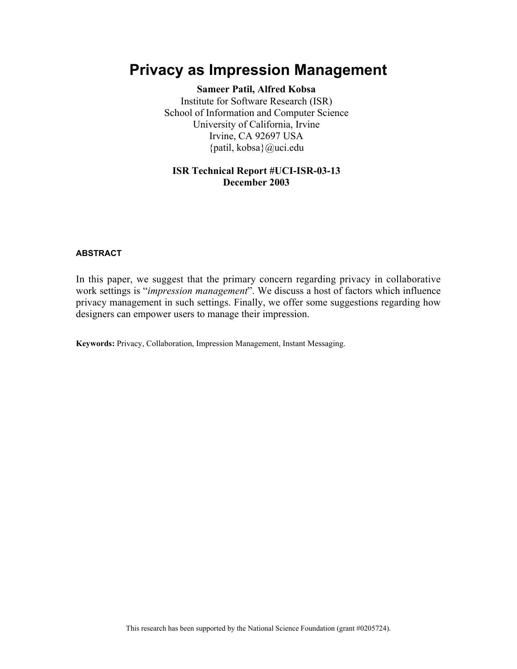# **Privacy as Impression Management**

**Sameer Patil, Alfred Kobsa** Institute for Software Research (ISR) School of Information and Computer Science University of California, Irvine Irvine, CA 92697 USA {patil, kobsa}@uci.edu

# **ISR Technical Report #UCI-ISR-03-13 December 2003**

# **ABSTRACT**

In this paper, we suggest that the primary concern regarding privacy in collaborative work settings is "*impression management*". We discuss a host of factors which influence privacy management in such settings. Finally, we offer some suggestions regarding how designers can empower users to manage their impression.

**Keywords:** Privacy, Collaboration, Impression Management, Instant Messaging.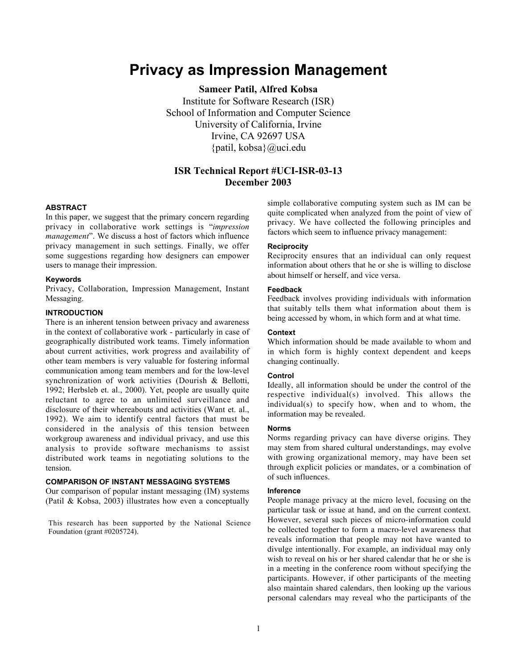# **Privacy as Impression Management**

**Sameer Patil, Alfred Kobsa** Institute for Software Research (ISR) School of Information and Computer Science University of California, Irvine Irvine, CA 92697 USA {patil, kobsa}@uci.edu

# **ISR Technical Report #UCI-ISR-03-13 December 2003**

#### **ABSTRACT**

In this paper, we suggest that the primary concern regarding privacy in collaborative work settings is "*impression management*". We discuss a host of factors which influence privacy management in such settings. Finally, we offer some suggestions regarding how designers can empower users to manage their impression.

# **Keywords**

Privacy, Collaboration, Impression Management, Instant Messaging.

## **INTRODUCTION**

There is an inherent tension between privacy and awareness in the context of collaborative work - particularly in case of geographically distributed work teams. Timely information about current activities, work progress and availability of other team members is very valuable for fostering informal communication among team members and for the low-level synchronization of work activities (Dourish & Bellotti, 1992; Herbsleb et. al., 2000). Yet, people are usually quite reluctant to agree to an unlimited surveillance and disclosure of their whereabouts and activities (Want et. al., 1992). We aim to identify central factors that must be considered in the analysis of this tension between workgroup awareness and individual privacy, and use this analysis to provide software mechanisms to assist distributed work teams in negotiating solutions to the tension.

#### **COMPARISON OF INSTANT MESSAGING SYSTEMS**

Our comparison of popular instant messaging (IM) systems (Patil & Kobsa, 2003) illustrates how even a conceptually

This research has been supported by the National Science Foundation (grant #0205724).

simple collaborative computing system such as IM can be quite complicated when analyzed from the point of view of privacy. We have collected the following principles and factors which seem to influence privacy management:

#### **Reciprocity**

Reciprocity ensures that an individual can only request information about others that he or she is willing to disclose about himself or herself, and vice versa.

#### **Feedback**

Feedback involves providing individuals with information that suitably tells them what information about them is being accessed by whom, in which form and at what time.

#### **Context**

Which information should be made available to whom and in which form is highly context dependent and keeps changing continually.

## **Control**

Ideally, all information should be under the control of the respective individual(s) involved. This allows the individual(s) to specify how, when and to whom, the information may be revealed.

#### **Norms**

Norms regarding privacy can have diverse origins. They may stem from shared cultural understandings, may evolve with growing organizational memory, may have been set through explicit policies or mandates, or a combination of of such influences.

#### **Inference**

People manage privacy at the micro level, focusing on the particular task or issue at hand, and on the current context. However, several such pieces of micro-information could be collected together to form a macro-level awareness that reveals information that people may not have wanted to divulge intentionally. For example, an individual may only wish to reveal on his or her shared calendar that he or she is in a meeting in the conference room without specifying the participants. However, if other participants of the meeting also maintain shared calendars, then looking up the various personal calendars may reveal who the participants of the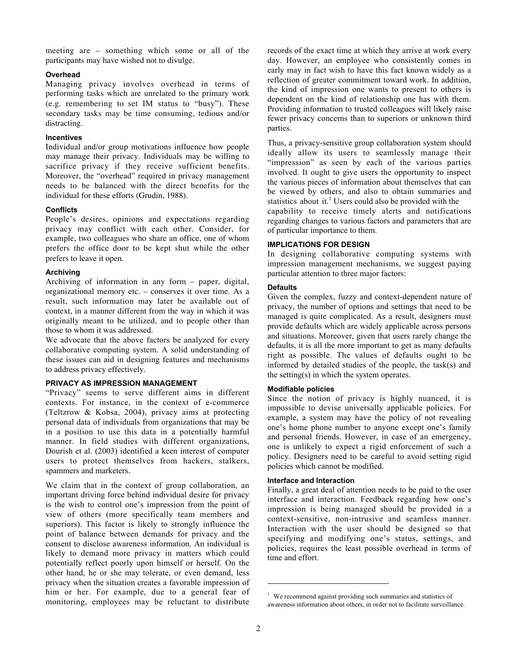meeting are – something which some or all of the participants may have wished not to divulge.

# **Overhead**

Managing privacy involves overhead in terms of performing tasks which are unrelated to the primary work (e.g. remembering to set IM status to "busy"). These secondary tasks may be time consuming, tedious and/or distracting.

#### **Incentives**

Individual and/or group motivations influence how people may manage their privacy. Individuals may be willing to sacrifice privacy if they receive sufficient benefits. Moreover, the "overhead" required in privacy management needs to be balanced with the direct benefits for the individual for these efforts (Grudin, 1988).

#### **Conflicts**

People's desires, opinions and expectations regarding privacy may conflict with each other. Consider, for example, two colleagues who share an office, one of whom prefers the office door to be kept shut while the other prefers to leave it open.

#### **Archiving**

Archiving of information in any form – paper, digital, organizational memory etc. – conserves it over time. As a result, such information may later be available out of context, in a manner different from the way in which it was originally meant to be utilized, and to people other than those to whom it was addressed.

We advocate that the above factors be analyzed for every collaborative computing system. A solid understanding of these issues can aid in designing features and mechanisms to address privacy effectively.

## **PRIVACY AS IMPRESSION MANAGEMENT**

"Privacy" seems to serve different aims in different contexts. For instance, in the context of e-commerce (Teltzrow & Kobsa, 2004), privacy aims at protecting personal data of individuals from organizations that may be in a position to use this data in a potentially harmful manner. In field studies with different organizations, Dourish et al. (2003) identified a keen interest of computer users to protect themselves from hackers, stalkers, spammers and marketers.

We claim that in the context of group collaboration, an important driving force behind individual desire for privacy is the wish to control one's impression from the point of view of others (more specifically team members and superiors). This factor is likely to strongly influence the point of balance between demands for privacy and the consent to disclose awareness information. An individual is likely to demand more privacy in matters which could potentially reflect poorly upon himself or herself. On the other hand, he or she may tolerate, or even demand, less privacy when the situation creates a favorable impression of him or her. For example, due to a general fear of monitoring, employees may be reluctant to distribute records of the exact time at which they arrive at work every day. However, an employee who consistently comes in early may in fact wish to have this fact known widely as a reflection of greater commitment toward work. In addition, the kind of impression one wants to present to others is dependent on the kind of relationship one has with them. Providing information to trusted colleagues will likely raise fewer privacy concerns than to superiors or unknown third parties.

Thus, a privacy-sensitive group collaboration system should ideally allow its users to seamlessly manage their "impression" as seen by each of the various parties involved. It ought to give users the opportunity to inspect the various pieces of information about themselves that can be viewed by others, and also to obtain summaries and statistics about it.<sup>1</sup> Users could also be provided with the capability to receive timely alerts and notifications regarding changes to various factors and parameters that are

# of particular importance to them. **IMPLICATIONS FOR DESIGN**

In designing collaborative computing systems with impression management mechanisms, we suggest paying particular attention to three major factors:

## **Defaults**

Given the complex, fuzzy and context-dependent nature of privacy, the number of options and settings that need to be managed is quite complicated. As a result, designers must provide defaults which are widely applicable across persons and situations. Moreover, given that users rarely change the defaults, it is all the more important to get as many defaults right as possible. The values of defaults ought to be informed by detailed studies of the people, the task(s) and the setting(s) in which the system operates.

#### **Modifiable policies**

Since the notion of privacy is highly nuanced, it is impossible to devise universally applicable policies. For example, a system may have the policy of not revealing one's home phone number to anyone except one's family and personal friends. However, in case of an emergency, one is unlikely to expect a rigid enforcement of such a policy. Designers need to be careful to avoid setting rigid policies which cannot be modified.

# **Interface and Interaction**

Finally, a great deal of attention needs to be paid to the user interface and interaction. Feedback regarding how one's impression is being managed should be provided in a context-sensitive, non-intrusive and seamless manner. Interaction with the user should be designed so that specifying and modifying one's status, settings, and policies, requires the least possible overhead in terms of time and effort.

1

 $1$  We recommend against providing such summaries and statistics of awareness information about others, in order not to facilitate surveillance.